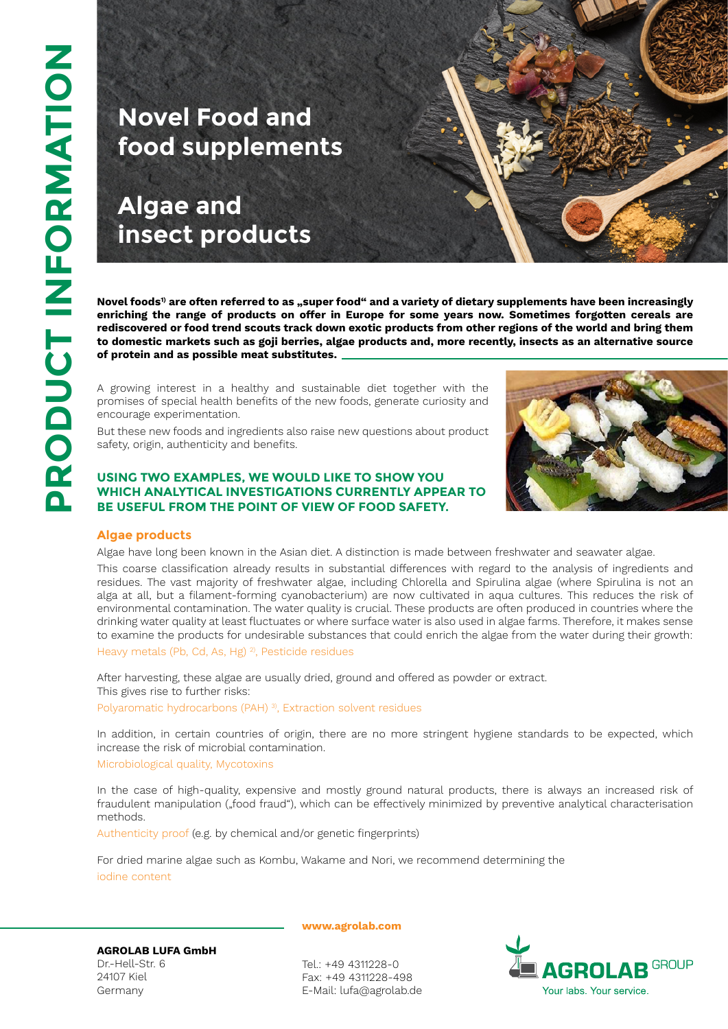# **Novel Food and food supplements**

**Algae and insect products**

Novel foods<sup>1)</sup> are often referred to as "super food" and a variety of dietary supplements have been increasingly **enriching the range of products on offer in Europe for some years now. Sometimes forgotten cereals are rediscovered or food trend scouts track down exotic products from other regions of the world and bring them to domestic markets such as goji berries, algae products and, more recently, insects as an alternative source of protein and as possible meat substitutes.**

A growing interest in a healthy and sustainable diet together with the promises of special health benefits of the new foods, generate curiosity and encourage experimentation.

But these new foods and ingredients also raise new questions about product safety, origin, authenticity and benefits.

## **USING TWO EXAMPLES, WE WOULD LIKE TO SHOW YOU WHICH ANALYTICAL INVESTIGATIONS CURRENTLY APPEAR T be useful from the point of v iew of food saf e ty.**



### **Algae products**

Algae have long been known in the Asian diet. A distinction is made between freshwater and seawater algae.

This coarse classification already results in substantial differences with regard to the analysis of ingredients and residues. The vast majority of freshwater algae, including Chlorella and Spirulina algae (where Spirulina is not an alga at all, but a filament-forming cyanobacterium) are now cultivated in aqua cultures. This reduces the risk of environmental contamination. The water quality is crucial. These products are often produced in countries where the drinking water quality at least fluctuates or where surface water is also used in algae farms. Therefore, it makes sense to examine the products for undesirable substances that could enrich the algae from the water during their growth: Heavy metals (Pb, Cd, As, Hg)<sup>2</sup>, Pesticide residues

After harvesting, these algae are usually dried, ground and offered as powder or extract. This gives rise to further risks:

Polyaromatic hydrocarbons (PAH)<sup>3</sup>, Extraction solvent residues

In addition, in certain countries of origin, there are no more stringent hygiene standards to be expected, which increase the risk of microbial contamination.

Microbiological quality, Mycotoxins

In the case of high-quality, expensive and mostly ground natural products, there is always an increased risk of fraudulent manipulation ("food fraud"), which can be effectively minimized by preventive analytical characterisation methods.

Authenticity proof (e.g. by chemical and/or genetic fingerprints)

For dried marine algae such as Kombu, Wakame and Nori, we recommend determining the iodine content

**AGROLAB LUFA GmbH** Dr.-Hell-Str. 6 24107 Kiel Germany

**www.agrolab.com**

Tel.: +49 4311228-0 Fax: +49 4311228-498 E-Mail: lufa@agrolab.de